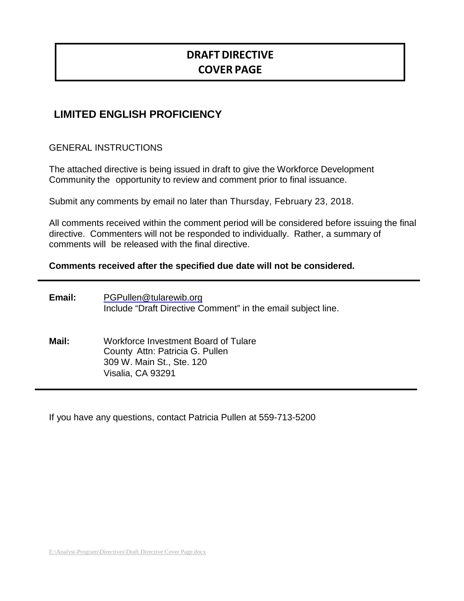# **DRAFTDIRECTIVE COVER PAGE**

## **LIMITED ENGLISH PROFICIENCY**

GENERAL INSTRUCTIONS

The attached directive is being issued in draft to give the Workforce Development Community the opportunity to review and comment prior to final issuance.

Submit any comments by email no later than Thursday, February 23, 2018.

All comments received within the comment period will be considered before issuing the final directive. Commenters will not be responded to individually. Rather, a summary of comments will be released with the final directive.

#### **Comments received after the specified due date will not be considered.**

| Email: | PGPullen@tularewib.org<br>Include "Draft Directive Comment" in the email subject line.                                    |
|--------|---------------------------------------------------------------------------------------------------------------------------|
| Mail:  | Workforce Investment Board of Tulare<br>County Attn: Patricia G. Pullen<br>309 W. Main St., Ste. 120<br>Visalia, CA 93291 |

If you have any questions, contact Patricia Pullen at 559-713-5200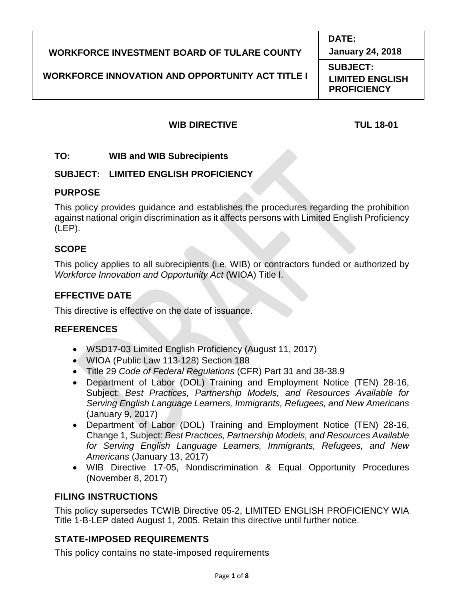| <b>January 24, 2018</b><br><b>WORKFORCE INVESTMENT BOARD OF TULARE COUNTY</b><br><b>SUBJECT:</b><br><b>WORKFORCE INNOVATION AND OPPORTUNITY ACT TITLE I</b><br><b>LIMITED ENGLISH</b><br><b>PROFICIENCY</b> | <b>DATE:</b> |
|-------------------------------------------------------------------------------------------------------------------------------------------------------------------------------------------------------------|--------------|
|                                                                                                                                                                                                             |              |
|                                                                                                                                                                                                             |              |

## **WIB DIRECTIVE TUL 18-01**

**TO: WIB and WIB Subrecipients**

## **SUBJECT: LIMITED ENGLISH PROFICIENCY**

## **PURPOSE**

This policy provides guidance and establishes the procedures regarding the prohibition against national origin discrimination as it affects persons with Limited English Proficiency (LEP).

## **SCOPE**

This policy applies to all subrecipients (i.e. WIB) or contractors funded or authorized by *Workforce Innovation and Opportunity Act* (WIOA) Title I.

## **EFFECTIVE DATE**

This directive is effective on the date of issuance.

## **REFERENCES**

- WSD17-03 Limited English Proficiency (August 11, 2017)
- WIOA (Public Law 113-128) Section 188
- Title 29 *Code of Federal Regulations* (CFR) Part 31 and 38-38.9
- Department of Labor (DOL) Training and Employment Notice (TEN) 28-16, Subject: *Best Practices, Partnership Models, and Resources Available for Serving English Language Learners, Immigrants, Refugees, and New Americans*  (January 9, 2017)
- Department of Labor (DOL) Training and Employment Notice (TEN) 28-16, Change 1, Subject: *Best Practices, Partnership Models, and Resources Available for Serving English Language Learners, Immigrants, Refugees, and New Americans* (January 13, 2017)
- WIB Directive 17-05, Nondiscrimination & Equal Opportunity Procedures (November 8, 2017)

## **FILING INSTRUCTIONS**

This policy supersedes TCWIB Directive 05-2, LIMITED ENGLISH PROFICIENCY WIA Title 1-B-LEP dated August 1, 2005. Retain this directive until further notice.

## **STATE-IMPOSED REQUIREMENTS**

This policy contains no state-imposed requirements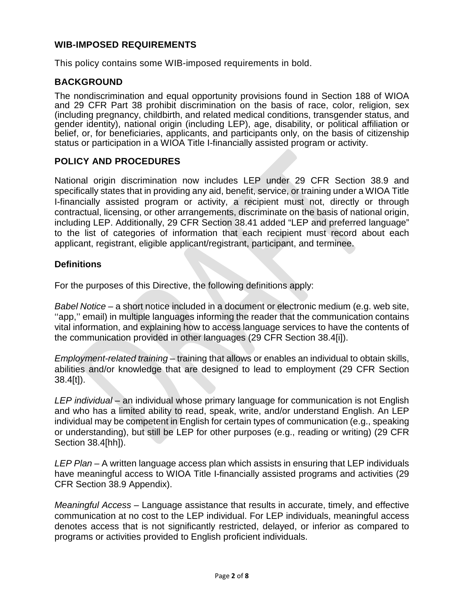#### **WIB-IMPOSED REQUIREMENTS**

This policy contains some WIB-imposed requirements in bold.

### **BACKGROUND**

The nondiscrimination and equal opportunity provisions found in Section 188 of WIOA and 29 CFR Part 38 prohibit discrimination on the basis of race, color, religion, sex (including pregnancy, childbirth, and related medical conditions, transgender status, and gender identity), national origin (including LEP), age, disability, or political affiliation or belief, or, for beneficiaries, applicants, and participants only, on the basis of citizenship status or participation in a WIOA Title I-financially assisted program or activity.

#### **POLICY AND PROCEDURES**

National origin discrimination now includes LEP under 29 CFR Section 38.9 and specifically states that in providing any aid, benefit, service, or training under a WIOA Title I-financially assisted program or activity, a recipient must not, directly or through contractual, licensing, or other arrangements, discriminate on the basis of national origin, including LEP. Additionally, 29 CFR Section 38.41 added "LEP and preferred language" to the list of categories of information that each recipient must record about each applicant, registrant, eligible applicant/registrant, participant, and terminee.

#### **Definitions**

For the purposes of this Directive, the following definitions apply:

*Babel Notice* – a short notice included in a document or electronic medium (e.g. web site, "app," email) in multiple languages informing the reader that the communication contains vital information, and explaining how to access language services to have the contents of the communication provided in other languages (29 CFR Section 38.4[i]).

*Employment-related training* – training that allows or enables an individual to obtain skills, abilities and/or knowledge that are designed to lead to employment (29 CFR Section 38.4[t]).

*LEP individual* – an individual whose primary language for communication is not English and who has a limited ability to read, speak, write, and/or understand English. An LEP individual may be competent in English for certain types of communication (e.g., speaking or understanding), but still be LEP for other purposes (e.g., reading or writing) (29 CFR Section 38.4[hh]).

LEP Plan – A written language access plan which assists in ensuring that LEP individuals have meaningful access to WIOA Title I-financially assisted programs and activities (29 CFR Section 38.9 Appendix).

*Meaningful Access –* Language assistance that results in accurate, timely, and effective communication at no cost to the LEP individual. For LEP individuals, meaningful access denotes access that is not significantly restricted, delayed, or inferior as compared to programs or activities provided to English proficient individuals.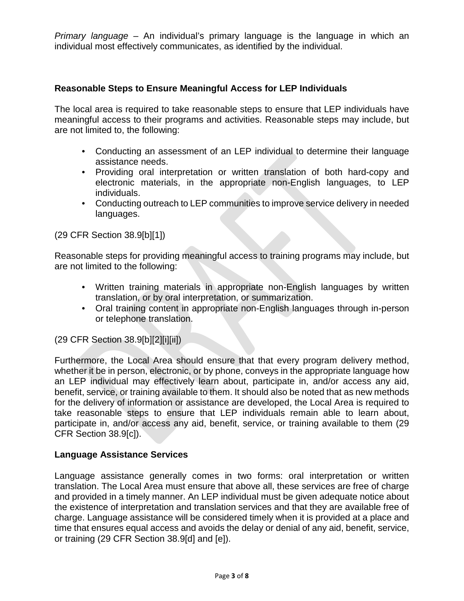*Primary language* – An individual's primary language is the language in which an individual most effectively communicates, as identified by the individual.

#### **Reasonable Steps to Ensure Meaningful Access for LEP Individuals**

The local area is required to take reasonable steps to ensure that LEP individuals have meaningful access to their programs and activities. Reasonable steps may include, but are not limited to, the following:

- Conducting an assessment of an LEP individual to determine their language assistance needs.
- Providing oral interpretation or written translation of both hard-copy and electronic materials, in the appropriate non-English languages, to LEP individuals.
- Conducting outreach to LEP communities to improve service delivery in needed languages.

#### (29 CFR Section 38.9[b][1])

Reasonable steps for providing meaningful access to training programs may include, but are not limited to the following:

- Written training materials in appropriate non-English languages by written translation, or by oral interpretation, or summarization.
- Oral training content in appropriate non-English languages through in-person or telephone translation.

#### (29 CFR Section 38.9[b][2][i][ii])

Furthermore, the Local Area should ensure that that every program delivery method, whether it be in person, electronic, or by phone, conveys in the appropriate language how an LEP individual may effectively learn about, participate in, and/or access any aid, benefit, service, or training available to them. It should also be noted that as new methods for the delivery of information or assistance are developed, the Local Area is required to take reasonable steps to ensure that LEP individuals remain able to learn about, participate in, and/or access any aid, benefit, service, or training available to them (29 CFR Section 38.9[c]).

#### **Language Assistance Services**

Language assistance generally comes in two forms: oral interpretation or written translation. The Local Area must ensure that above all, these services are free of charge and provided in a timely manner. An LEP individual must be given adequate notice about the existence of interpretation and translation services and that they are available free of charge. Language assistance will be considered timely when it is provided at a place and time that ensures equal access and avoids the delay or denial of any aid, benefit, service, or training (29 CFR Section 38.9[d] and [e]).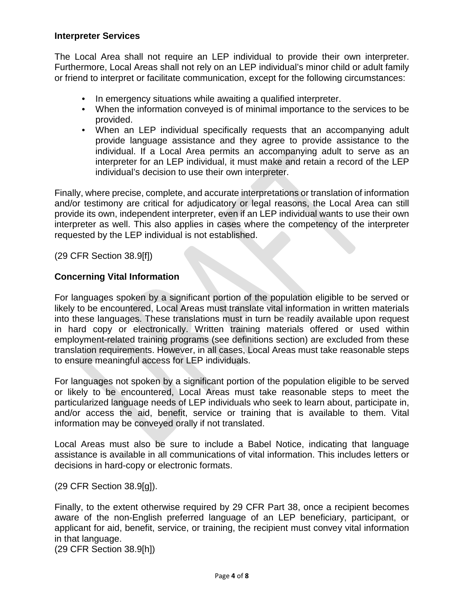#### **Interpreter Services**

The Local Area shall not require an LEP individual to provide their own interpreter. Furthermore, Local Areas shall not rely on an LEP individual's minor child or adult family or friend to interpret or facilitate communication, except for the following circumstances:

- In emergency situations while awaiting a qualified interpreter.
- When the information conveyed is of minimal importance to the services to be provided.
- When an LEP individual specifically requests that an accompanying adult provide language assistance and they agree to provide assistance to the individual. If a Local Area permits an accompanying adult to serve as an interpreter for an LEP individual, it must make and retain a record of the LEP individual's decision to use their own interpreter.

Finally, where precise, complete, and accurate interpretations or translation of information and/or testimony are critical for adjudicatory or legal reasons, the Local Area can still provide its own, independent interpreter, even if an LEP individual wants to use their own interpreter as well. This also applies in cases where the competency of the interpreter requested by the LEP individual is not established.

(29 CFR Section 38.9[f])

#### **Concerning Vital Information**

For languages spoken by a significant portion of the population eligible to be served or likely to be encountered, Local Areas must translate vital information in written materials into these languages. These translations must in turn be readily available upon request in hard copy or electronically. Written training materials offered or used within employment-related training programs (see definitions section) are excluded from these translation requirements. However, in all cases, Local Areas must take reasonable steps to ensure meaningful access for LEP individuals.

For languages not spoken by a significant portion of the population eligible to be served or likely to be encountered, Local Areas must take reasonable steps to meet the particularized language needs of LEP individuals who seek to learn about, participate in, and/or access the aid, benefit, service or training that is available to them. Vital information may be conveyed orally if not translated.

Local Areas must also be sure to include a Babel Notice, indicating that language assistance is available in all communications of vital information. This includes letters or decisions in hard-copy or electronic formats.

(29 CFR Section 38.9[g]).

Finally, to the extent otherwise required by 29 CFR Part 38, once a recipient becomes aware of the non-English preferred language of an LEP beneficiary, participant, or applicant for aid, benefit, service, or training, the recipient must convey vital information in that language.

(29 CFR Section 38.9[h])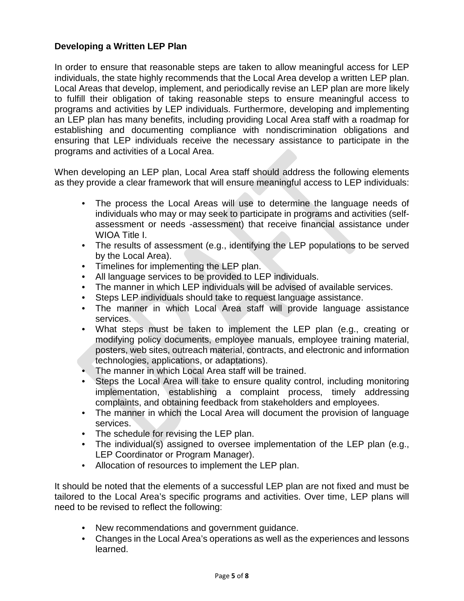## **Developing a Written LEP Plan**

In order to ensure that reasonable steps are taken to allow meaningful access for LEP individuals, the state highly recommends that the Local Area develop a written LEP plan. Local Areas that develop, implement, and periodically revise an LEP plan are more likely to fulfill their obligation of taking reasonable steps to ensure meaningful access to programs and activities by LEP individuals. Furthermore, developing and implementing an LEP plan has many benefits, including providing Local Area staff with a roadmap for establishing and documenting compliance with nondiscrimination obligations and ensuring that LEP individuals receive the necessary assistance to participate in the programs and activities of a Local Area.

When developing an LEP plan, Local Area staff should address the following elements as they provide a clear framework that will ensure meaningful access to LEP individuals:

- The process the Local Areas will use to determine the language needs of individuals who may or may seek to participate in programs and activities (selfassessment or needs -assessment) that receive financial assistance under WIOA Title I.
- The results of assessment (e.g., identifying the LEP populations to be served by the Local Area).
- Timelines for implementing the LEP plan.
- All language services to be provided to LEP individuals.
- The manner in which LEP individuals will be advised of available services.
- Steps LEP individuals should take to request language assistance.
- The manner in which Local Area staff will provide language assistance services.
- What steps must be taken to implement the LEP plan (e.g., creating or modifying policy documents, employee manuals, employee training material, posters, web sites, outreach material, contracts, and electronic and information technologies, applications, or adaptations).
- The manner in which Local Area staff will be trained.
- Steps the Local Area will take to ensure quality control, including monitoring implementation, establishing a complaint process, timely addressing complaints, and obtaining feedback from stakeholders and employees.
- The manner in which the Local Area will document the provision of language services.
- The schedule for revising the LEP plan.
- The individual(s) assigned to oversee implementation of the LEP plan (e.g., LEP Coordinator or Program Manager).
- Allocation of resources to implement the LEP plan.

It should be noted that the elements of a successful LEP plan are not fixed and must be tailored to the Local Area's specific programs and activities. Over time, LEP plans will need to be revised to reflect the following:

- New recommendations and government guidance.
- Changes in the Local Area's operations as well as the experiences and lessons learned.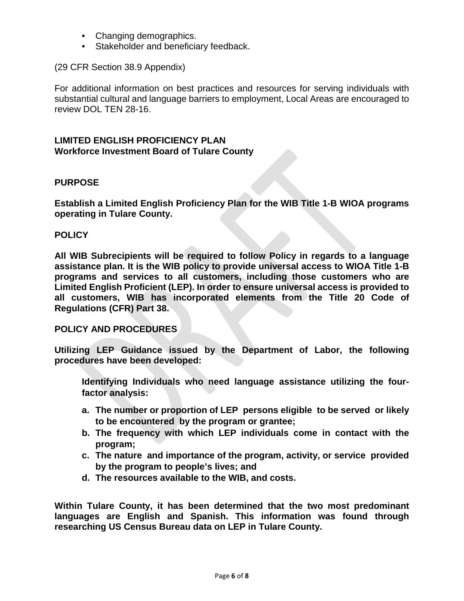- Changing demographics.
- Stakeholder and beneficiary feedback.

#### (29 CFR Section 38.9 Appendix)

For additional information on best practices and resources for serving individuals with substantial cultural and language barriers to employment, Local Areas are encouraged to review DOL TEN 28-16.

#### **LIMITED ENGLISH PROFICIENCY PLAN Workforce Investment Board of Tulare County**

#### **PURPOSE**

**Establish a Limited English Proficiency Plan for the WIB Title 1-B WIOA programs operating in Tulare County.**

#### **POLICY**

**All WIB Subrecipients will be required to follow Policy in regards to a language assistance plan. It is the WIB policy to provide universal access to WIOA Title 1-B programs and services to all customers, including those customers who are Limited English Proficient (LEP). In order to ensure universal access is provided to all customers, WIB has incorporated elements from the Title 20 Code of Regulations (CFR) Part 38.**

#### **POLICY AND PROCEDURES**

**Utilizing LEP Guidance issued by the Department of Labor, the following procedures have been developed:**

**Identifying Individuals who need language assistance utilizing the fourfactor analysis:**

- **a. The number or proportion of LEP persons eligible to be served or likely to be encountered by the program or grantee;**
- **b. The frequency with which LEP individuals come in contact with the program;**
- **c. The nature and importance of the program, activity, or service provided by the program to people's lives; and**
- **d. The resources available to the WIB, and costs.**

**Within Tulare County, it has been determined that the two most predominant languages are English and Spanish. This information was found through researching US Census Bureau data on LEP in Tulare County.**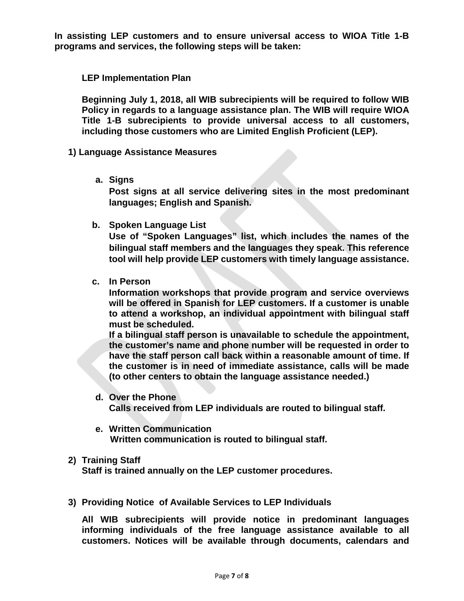**In assisting LEP customers and to ensure universal access to WIOA Title 1-B programs and services, the following steps will be taken:**

**LEP Implementation Plan** 

**Beginning July 1, 2018, all WIB subrecipients will be required to follow WIB Policy in regards to a language assistance plan. The WIB will require WIOA Title 1-B subrecipients to provide universal access to all customers, including those customers who are Limited English Proficient (LEP).** 

- **1) Language Assistance Measures**
	- **a. Signs**

**Post signs at all service delivering sites in the most predominant languages; English and Spanish.**

**b. Spoken Language List**

**Use of "Spoken Languages" list, which includes the names of the bilingual staff members and the languages they speak. This reference tool will help provide LEP customers with timely language assistance.**

**c. In Person**

**Information workshops that provide program and service overviews will be offered in Spanish for LEP customers. If a customer is unable to attend a workshop, an individual appointment with bilingual staff must be scheduled.**

**If a bilingual staff person is unavailable to schedule the appointment, the customer's name and phone number will be requested in order to have the staff person call back within a reasonable amount of time. If the customer is in need of immediate assistance, calls will be made (to other centers to obtain the language assistance needed.)**

- **d. Over the Phone Calls received from LEP individuals are routed to bilingual staff.**
- **e. Written Communication Written communication is routed to bilingual staff.**
- **2) Training Staff**

**Staff is trained annually on the LEP customer procedures.**

**3) Providing Notice of Available Services to LEP Individuals** 

**All WIB subrecipients will provide notice in predominant languages informing individuals of the free language assistance available to all customers. Notices will be available through documents, calendars and**